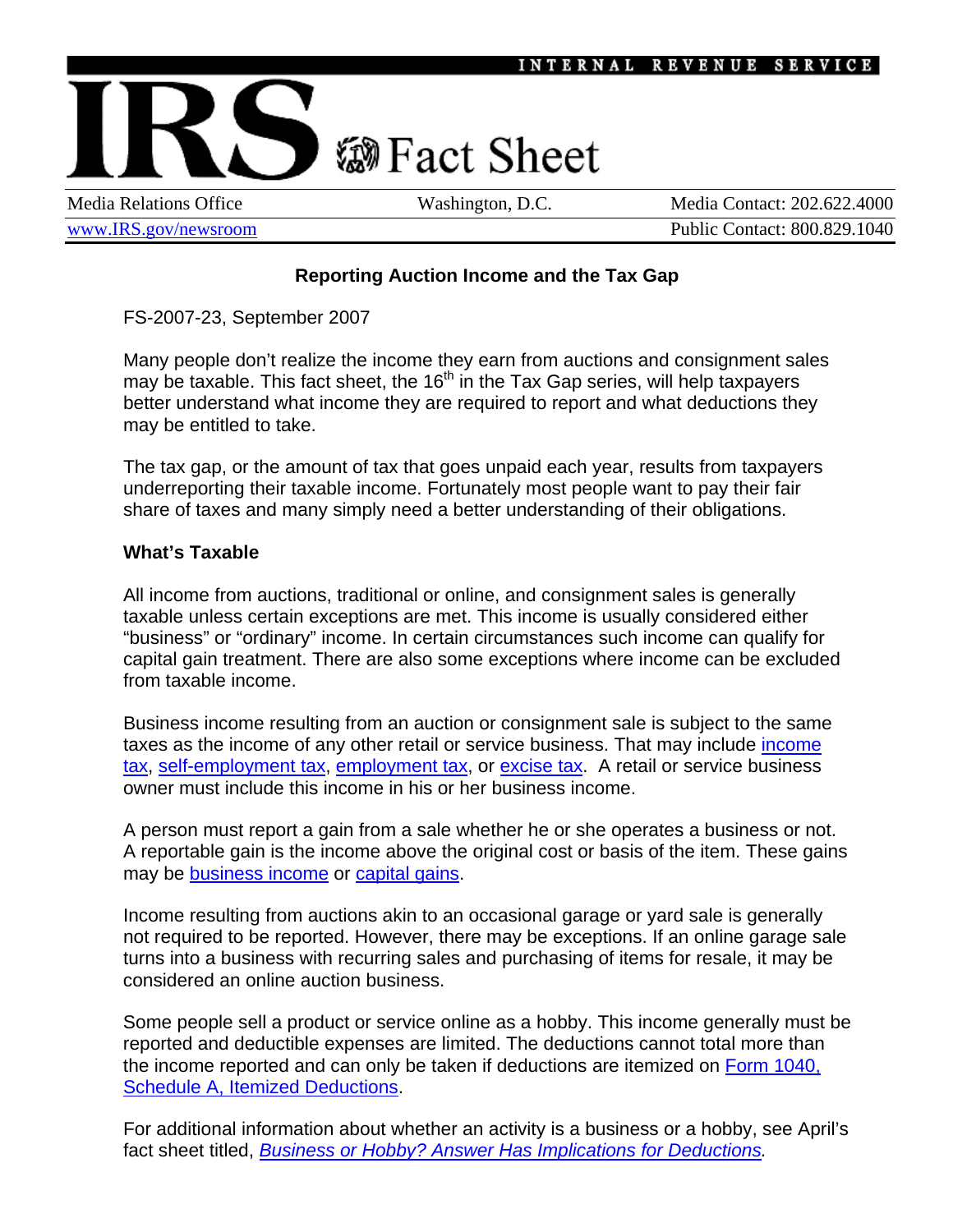

www.IRS.gov/newsroom **Public Contact: 800.829.1040** 

## **Reporting Auction Income and the Tax Gap**

FS-2007-23, September 2007

Many people don't realize the income they earn from auctions and consignment sales may be taxable. This fact sheet, the  $16<sup>th</sup>$  in the Tax Gap series, will help taxpayers better understand what income they are required to report and what deductions they may be entitled to take.

The tax gap, or the amount of tax that goes unpaid each year, results from taxpayers underreporting their taxable income. Fortunately most people want to pay their fair share of taxes and many simply need a better understanding of their obligations.

## **What's Taxable**

All income from auctions, traditional or online, and consignment sales is generally taxable unless certain exceptions are met. This income is usually considered either "business" or "ordinary" income. In certain circumstances such income can qualify for capital gain treatment. There are also some exceptions where income can be excluded from taxable income.

Business income resulting from an auction or consignment sale is subject to the same taxes as the income of any other retail or service business. That may include income tax, self-employment tax, employment tax, or excise tax. A retail or service business owner must include this income in his or her business income.

A person must report a gain from a sale whether he or she operates a business or not. A reportable gain is the income above the original cost or basis of the item. These gains may be business income or capital gains.

Income resulting from auctions akin to an occasional garage or yard sale is generally not required to be reported. However, there may be exceptions. If an online garage sale turns into a business with recurring sales and purchasing of items for resale, it may be considered an online auction business.

Some people sell a product or service online as a hobby. This income generally must be reported and deductible expenses are limited. The deductions cannot total more than the income reported and can only be taken if deductions are itemized on Form 1040, Schedule A, Itemized Deductions.

For additional information about whether an activity is a business or a hobby, see April's fact sheet titled, *Business or Hobby? Answer Has Implications for Deductions.*